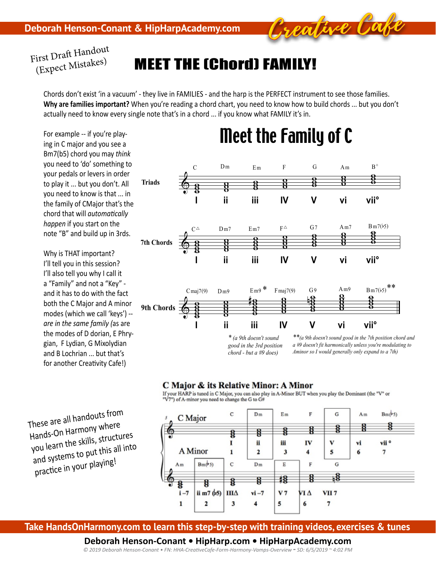

# Meet the (Chord) Family!

Chords don't exist 'in a vacuum' - they live in FAMILIES - and the harp is the PERFECT instrument to see those families. **Why are families important?** When you're reading a chord chart, you need to know how to build chords … but you don't actually need to know every single note that's in a chord ... if you know what FAMILY it's in.

For example -- if you're playing in C major and you see a Bm7(b5) chord you may *think* you need to 'do' something to your pedals or levers in order to play it ... but you don't. All you need to know is that ... in the family of CMajor that's the chord that will *automatically happen* if you start on the note "B" and build up in 3rds.

Why is THAT important? I'll tell you in this session? I'll also tell you why I call it a "Family" and not a "Key" and it has to do with the fact both the C Major and A minor modes (which we call 'keys') - *are in the same family (*as are the modes of D dorian, E Phrygian, F Lydian, G Mixolydian and B Lochrian ... but that's for another Creativity Cafe!)

These are all handouts from Hands-On Harmony where you learn the skills, structures and systems to put this all into practice in your playing!



Meet the Family of C

### C Major & its Relative Minor: A Minor

If your HARP is tuned in C Major, you can also play in A-Minor BUT when you play the Dominant (the "V" or "V7") of A-minor you need to change the G to G#



**Take HandsOnHarmony.com to learn this step-by-step with training videos, exercises & tunes** 

### **Deborah Henson-Conant • HipHarp.com • HipHarpAcademy.com**

*© 2019 Deborah Henson-Conant • FN: HHA-CreativeCafe-Form-Harmony-Vamps-Overview - SD: 6/5/2019 ~ 4:02 PM*